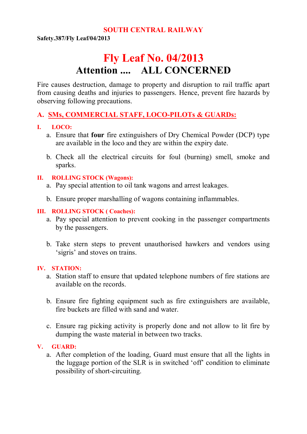#### **SOUTH CENTRAL RAILWAY**

**Safety.387/Fly Leaf/04/2013**

# **Fly Leaf No. 04/2013 Attention .... ALL CONCERNED**

Fire causes destruction, damage to property and disruption to rail traffic apart from causing deaths and injuries to passengers. Hence, prevent fire hazards by observing following precautions.

## **A. SMs, COMMERCIAL STAFF, LOCO-PILOTs & GUARDs:**

#### **I. LOCO:**

- a. Ensure that **four** fire extinguishers of Dry Chemical Powder (DCP) type are available in the loco and they are within the expiry date.
- b. Check all the electrical circuits for foul (burning) smell, smoke and sparks.

#### **II. ROLLING STOCK (Wagons):**

- a. Pay special attention to oil tank wagons and arrest leakages.
- b. Ensure proper marshalling of wagons containing inflammables.

#### **III. ROLLING STOCK ( Coaches):**

- a. Pay special attention to prevent cooking in the passenger compartments by the passengers.
- b. Take stern steps to prevent unauthorised hawkers and vendors using 'sigris' and stoves on trains.

#### **IV. STATION:**

- a. Station staff to ensure that updated telephone numbers of fire stations are available on the records.
- b. Ensure fire fighting equipment such as fire extinguishers are available, fire buckets are filled with sand and water.
- c. Ensure rag picking activity is properly done and not allow to lit fire by dumping the waste material in between two tracks.

#### **V. GUARD:**

a. After completion of the loading, Guard must ensure that all the lights in the luggage portion of the SLR is in switched 'off' condition to eliminate possibility of short-circuiting.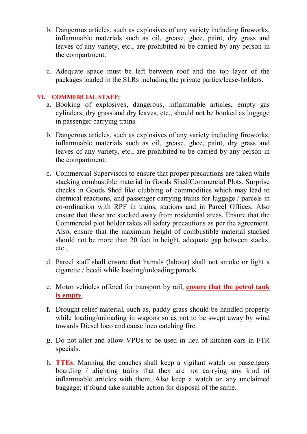- b. Dangerous articles, such as explosives of any variety including fireworks, inflammable materials such as oil, grease, ghee, paint, dry grass and leaves of any variety, etc., are prohibited to be carried by any person in the compartment.
- c. Adequate space must be left between roof and the top layer of the packages loaded in the SLRs including the private parties/lease-holders.

#### **VI. COMMERCIAL STAFF:**

- a. Booking of explosives, dangerous, inflammable articles, empty gas cylinders, dry grass and dry leaves, etc., should not be booked as luggage in passenger carrying trains.
- b. Dangerous articles, such as explosives of any variety including fireworks, inflammable materials such as oil, grease, ghee, paint, dry grass and leaves of any variety, etc., are prohibited to be carried by any person in the compartment.
- c. Commercial Supervisors to ensure that proper precautions are taken while stacking combustible material in Goods Shed/Commercial Plots. Surprise checks in Goods Shed like clubbing of commodities which may lead to chemical reactions, and passenger carrying trains for luggage / parcels in co-ordination with RPF in trains, stations and in Parcel Offices. Also ensure that these are stacked away from residential areas. Ensure that the Commercial plot holder takes all safety precautions as per the agreement. Also, ensure that the maximum height of combustible material stacked should not be more than 20 feet in height, adequate gap between stacks, etc.,
- d. Parcel staff shall ensure that hamals (labour) shall not smoke or light a cigarette / beedi while loading/unloading parcels.
- e. Motor vehicles offered for transport by rail, **ensure that the petrol tank is empty**.
- **f.** Drought relief material, such as, paddy grass should be handled properly while loading/unloading in wagons so as not to be swept away by wind towards Diesel loco and cause loco catching fire.
- g. Do not allot and allow VPUs to be used in lieu of kitchen cars in FTR specials.
- h. **TTEs**: Manning the coaches shall keep a vigilant watch on passengers boarding / alighting trains that they are not carrying any kind of inflammable articles with them. Also keep a watch on any unclaimed baggage; if found take suitable action for disposal of the same.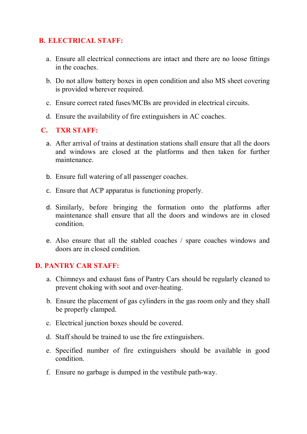## **B. ELECTRICAL STAFF:**

- a. Ensure all electrical connections are intact and there are no loose fittings in the coaches.
- b. Do not allow battery boxes in open condition and also MS sheet covering is provided wherever required.
- c. Ensure correct rated fuses/MCBs are provided in electrical circuits.
- d. Ensure the availability of fire extinguishers in AC coaches.

### **C. TXR STAFF:**

- a. After arrival of trains at destination stations shall ensure that all the doors and windows are closed at the platforms and then taken for further maintenance.
- b. Ensure full watering of all passenger coaches.
- c. Ensure that ACP apparatus is functioning properly.
- d. Similarly, before bringing the formation onto the platforms after maintenance shall ensure that all the doors and windows are in closed condition.
- e. Also ensure that all the stabled coaches / spare coaches windows and doors are in closed condition.

#### **D. PANTRY CAR STAFF:**

- a. Chimneys and exhaust fans of Pantry Cars should be regularly cleaned to prevent choking with soot and over-heating.
- b. Ensure the placement of gas cylinders in the gas room only and they shall be properly clamped.
- c. Electrical junction boxes should be covered.
- d. Staff should be trained to use the fire extinguishers.
- e. Specified number of fire extinguishers should be available in good condition.
- f. Ensure no garbage is dumped in the vestibule path-way.